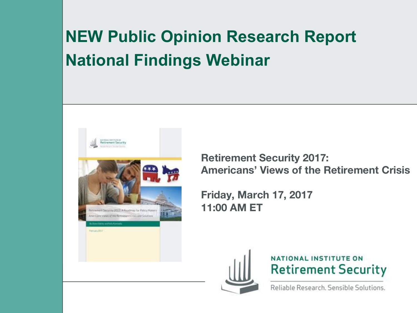### **NEW Public Opinion Research Report National Findings Webinar**



**Retirement Security 2017: Americans' Views of the Retirement Crisis**

**Friday, March 17, 2017 11:00 AM ET**





Reliable Research, Sensible Solutions.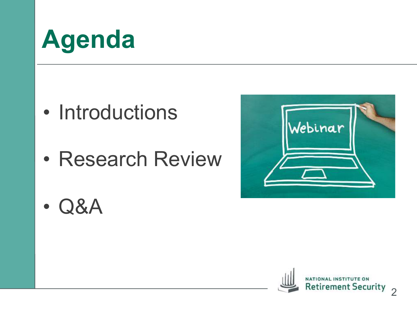# **Agenda**

- Introductions
- Research Review



• Q&A

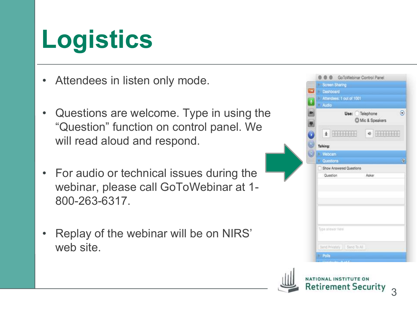# **Logistics**

- Attendees in listen only mode.
- Questions are welcome. Type in using the "Question" function on control panel. We will read aloud and respond.
- For audio or technical issues during the webinar, please call GoToWebinar at 1- 800-263-6317.
- Replay of the webinar will be on NIRS' web site.



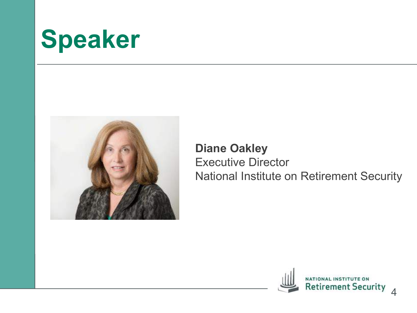# **Speaker**



#### **Diane Oakley** Executive Director National Institute on Retirement Security

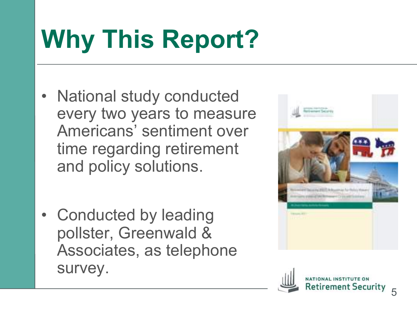# **Why This Report?**

- National study conducted every two years to measure Americans' sentiment over time regarding retirement and policy solutions.
- Conducted by leading pollster, Greenwald & Associates, as telephone survey.



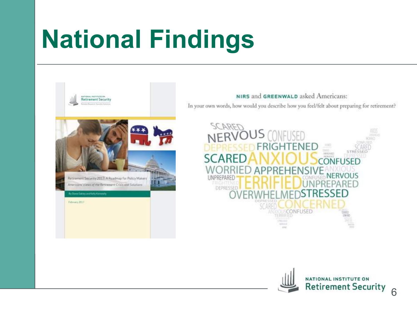# **National Findings**



#### NIRS and GREENWALD asked Americans: In your own words, how would you describe how you feel/felt about preparing for retirement?



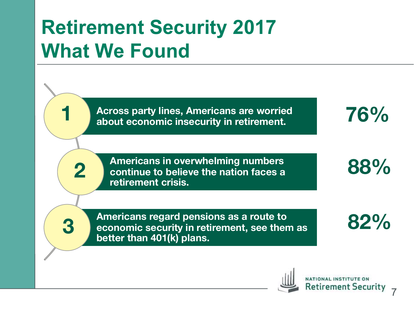## **Retirement Security 2017 What We Found**

1

**2**

**3**

**1**

**Across party lines, Americans are worried about economic insecurity in retirement.** 

**Americans in overwhelming numbers continue to believe the nation faces a retirement crisis.** 

**Americans regard pensions as a route to economic security in retirement, see them as better than 401(k) plans.**

Retirement Security

7

**76%**

**88%**

**82%**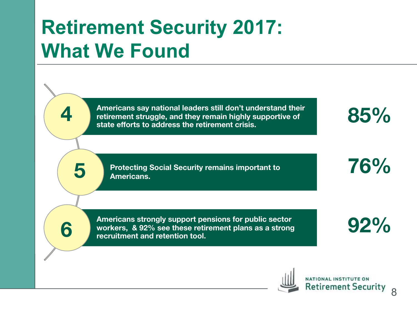### **Retirement Security 2017: What We Found**

1

**5**

**4**

**6**

**Americans say national leaders still don't understand their retirement struggle, and they remain highly supportive of state efforts to address the retirement crisis.** 

**Protecting Social Security remains important to Americans.** 

**Americans strongly support pensions for public sector workers, & 92% see these retirement plans as a strong recruitment and retention tool.** 

**85%**

**76%**

**92%**

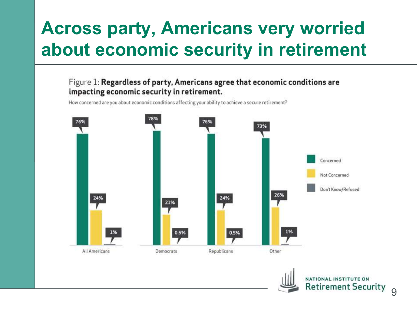### **Across party, Americans very worried about economic security in retirement**

Figure 1: Regardless of party, Americans agree that economic conditions are impacting economic security in retirement.

How concerned are you about economic conditions affecting your ability to achieve a secure retirement?



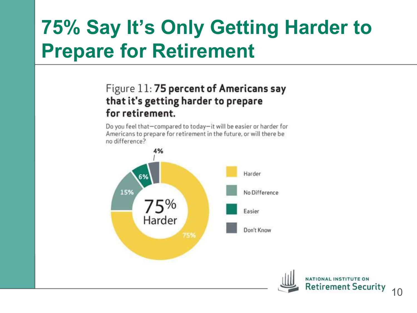## **75% Say It's Only Getting Harder to Prepare for Retirement**

#### Figure 11:75 percent of Americans say that it's getting harder to prepare for retirement.

Do you feel that-compared to today-it will be easier or harder for Americans to prepare for retirement in the future, or will there be no difference?

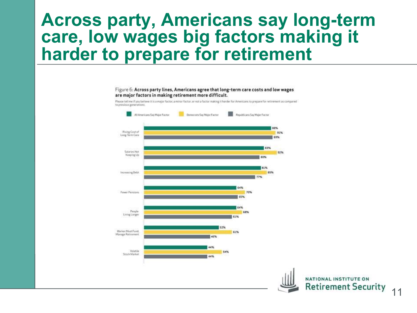#### **Across party, Americans say long-term care, low wages big factors making it harder to prepare for retirement**

#### Figure 6: Across party lines, Americans agree that long-term care costs and low wages are major factors in making retirement more difficult.

Please tell me if you believe it is a major factor, a minor factor, or not a factor making it harder for Americans to prepare for retirement as compared to previous generations.

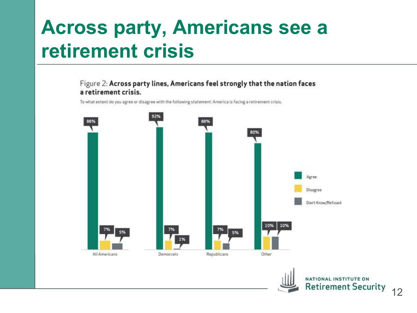### **Across party, Americans see a retirement crisis**

#### Figure 2: Across party lines, Americans feel strongly that the nation faces a retirement crisis.

To what extent do you agree or disagree with the following statement: America is facing a retirement crisis.



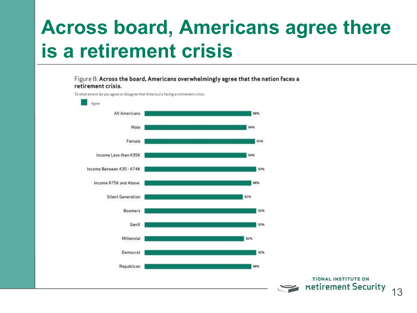### **Across board, Americans agree there is a retirement crisis**

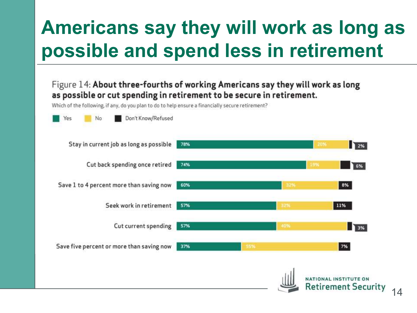## **Americans say they will work as long as possible and spend less in retirement**

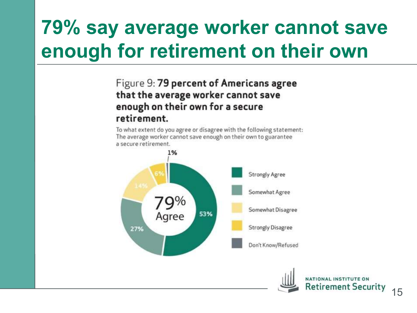## **79% say average worker cannot save enough for retirement on their own**

#### Figure 9: 79 percent of Americans agree that the average worker cannot save enough on their own for a secure retirement.

To what extent do you agree or disagree with the following statement: The average worker cannot save enough on their own to guarantee a secure retirement.



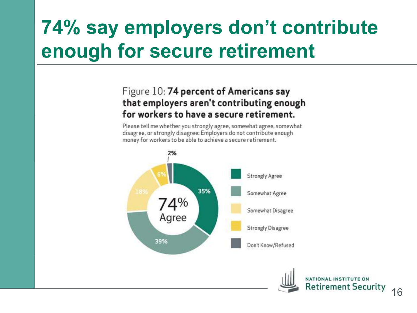## **74% say employers don't contribute enough for secure retirement**

#### Figure 10: 74 percent of Americans say that employers aren't contributing enough for workers to have a secure retirement.

Please tell me whether you strongly agree, somewhat agree, somewhat disagree, or strongly disagree: Employers do not contribute enough money for workers to be able to achieve a secure retirement.



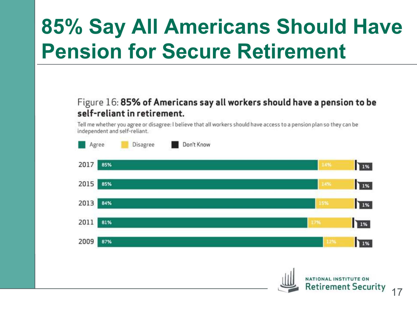## **85% Say All Americans Should Have Pension for Secure Retirement**

#### Figure 16: 85% of Americans say all workers should have a pension to be self-reliant in retirement.

Tell me whether you agree or disagree: I believe that all workers should have access to a pension plan so they can be<br>independent and self-reliant.



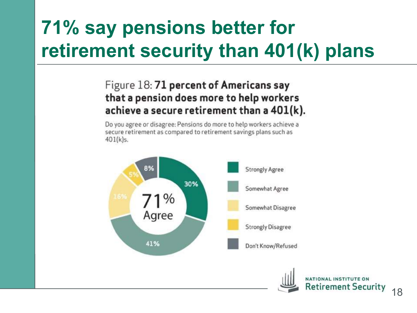## **71% say pensions better for retirement security than 401(k) plans**

#### Figure 18: 71 percent of Americans say that a pension does more to help workers achieve a secure retirement than a 401(k).

Do you agree or disagree: Pensions do more to help workers achieve a secure retirement as compared to retirement savings plans such as  $401(k)s.$ 

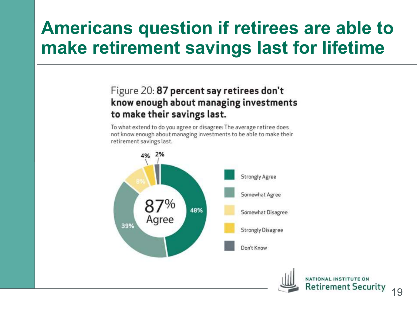#### **Americans question if retirees are able to make retirement savings last for lifetime**

#### Figure 20: 87 percent say retirees don't know enough about managing investments to make their savings last.

To what extend to do you agree or disagree: The average retiree does not know enough about managing investments to be able to make their retirement savings last.



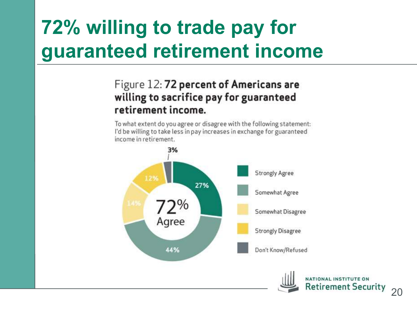## **72% willing to trade pay for guaranteed retirement income**

#### Figure 12: 72 percent of Americans are willing to sacrifice pay for guaranteed retirement income.

To what extent do you agree or disagree with the following statement: I'd be willing to take less in pay increases in exchange for guaranteed income in retirement.

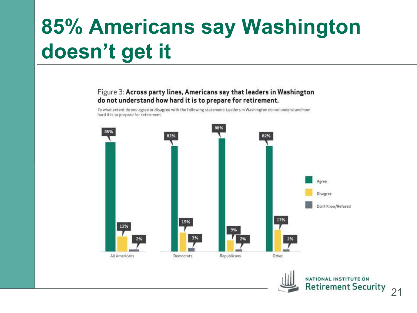## **85% Americans say Washington doesn't get it**

#### Figure 3: Across party lines, Americans say that leaders in Washington do not understand how hard it is to prepare for retirement.

To what extent do you agree or disagree with the following statement: Leaders in Washington do not understand how hard it is to prepare for retirement.



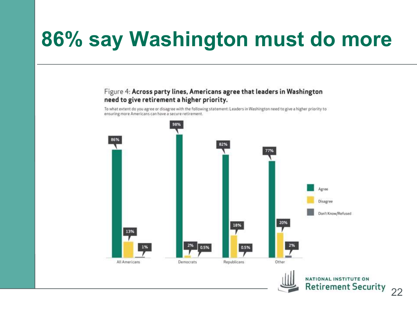## **86% say Washington must do more**

#### Figure 4: Across party lines, Americans agree that leaders in Washington need to give retirement a higher priority.

To what extent do you agree or disagree with the following statement: Leaders in Washington need to give a higher priority to ensuring more Americans can have a secure retirement.

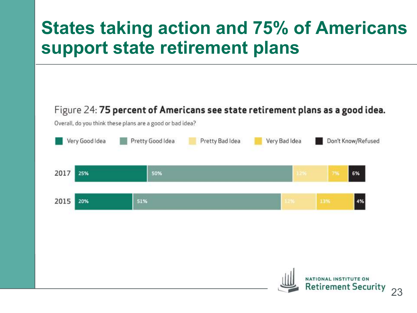#### **States taking action and 75% of Americans support state retirement plans**

#### Figure 24: 75 percent of Americans see state retirement plans as a good idea.

Overall, do you think these plans are a good or bad idea?

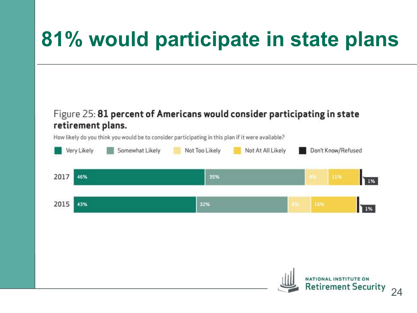## **81% would participate in state plans**

#### Figure 25: 81 percent of Americans would consider participating in state **retirement plans.**<br>How likely do you think you would be to consider participating in this plan if it were available?

Very Likely Somewhat Likely Not Too Likely Don't Know/Refused Not At All Likely 2017 1% 46% 35% 11% 2015 1% 43% 32%

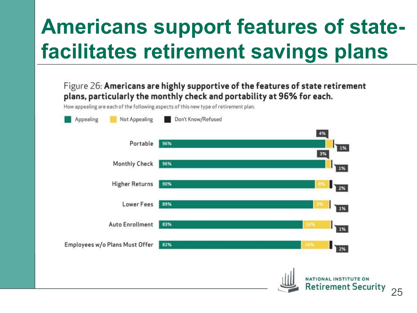## **Americans support features of statefacilitates retirement savings plans**

| Appealing              | Not Appealing                  | Don't Know/Refused |                                     |
|------------------------|--------------------------------|--------------------|-------------------------------------|
|                        |                                |                    | 4%                                  |
|                        | Portable                       | 96%                | 1%                                  |
|                        | <b>Monthly Check</b>           | 96%                | 3%<br>$1\%$                         |
|                        | <b>Higher Returns</b>          | 90%                | $\mathbf{I}_{\mathbf{Z}\mathbf{%}}$ |
|                        | <b>Lower Fees</b>              | 89%                | 1%                                  |
| <b>Auto Enrollment</b> |                                | 83%                | 16%<br>1%                           |
|                        | Employees w/o Plans Must Offer | 82%                | 16%<br>$\frac{1}{2\%}$              |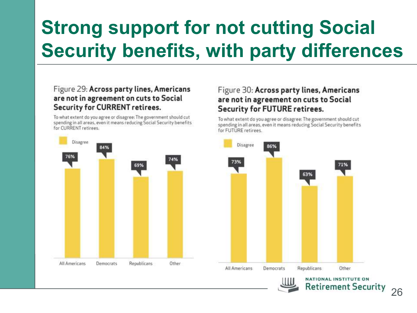## **Strong support for not cutting Social Security benefits, with party differences**

#### Figure 29: Across party lines, Americans are not in agreement on cuts to Social **Security for CURRENT retirees.**

To what extent do you agree or disagree: The government should cut spending in all areas, even it means reducing Social Security benefits.<br>for CURRENT retirees.



#### Figure 30: Across party lines, Americans are not in agreement on cuts to Social **Security for FUTURE retirees.**

To what extent do you agree or disagree: The government should cut spending in all areas, even it means reducing Social Security benefits for FUTURE retirees





NATIONAL INSTITUTE ON **Retirement Security**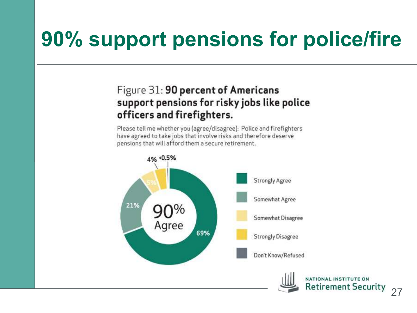## **90% support pensions for police/fire**

#### Figure 31: 90 percent of Americans support pensions for risky jobs like police officers and firefighters.

Please tell me whether you (agree/disagree): Police and firefighters have agreed to take jobs that involve risks and therefore deserve pensions that will afford them a secure retirement.

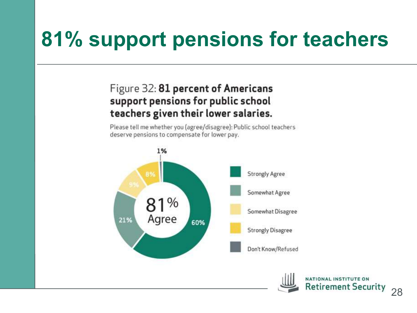## **81% support pensions for teachers**

#### Figure 32: 81 percent of Americans support pensions for public school teachers given their lower salaries.

Please tell me whether you (agree/disagree): Public school teachers deserve pensions to compensate for lower pay.



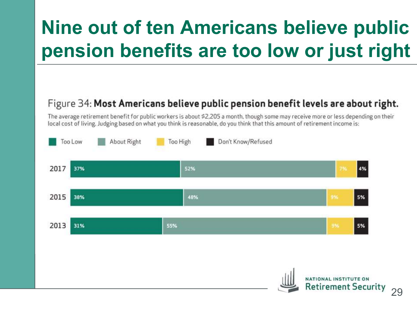## **Nine out of ten Americans believe public pension benefits are too low or just right**

#### Figure 34: Most Americans believe public pension benefit levels are about right.

The average retirement benefit for public workers is about \$2,205 a month, though some may receive more or less depending on their local cost of living. Judging based on what you think is reasonable, do you think that this amount of retirement income is:

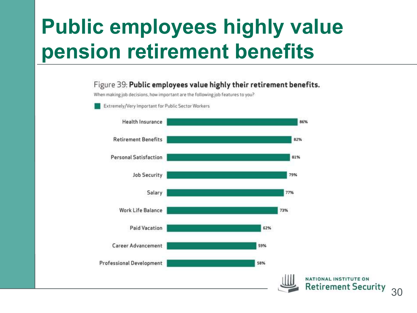## **Public employees highly value pension retirement benefits**

#### Figure 39: Public employees value highly their retirement benefits.

When making job decisions, how important are the following job features to you?



Extremely/Very Important for Public Sector Workers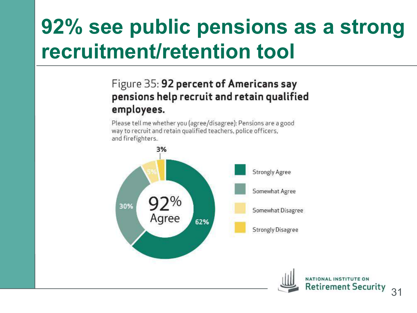## **92% see public pensions as a strong recruitment/retention tool**

#### Figure 35: 92 percent of Americans say pensions help recruit and retain qualified employees.

Please tell me whether you (agree/disagree): Pensions are a good way to recruit and retain qualified teachers, police officers, and firefighters.

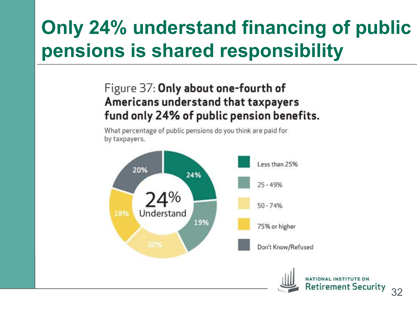## **Only 24% understand financing of public pensions is shared responsibility**

#### Figure 37: Only about one-fourth of Americans understand that taxpayers fund only 24% of public pension benefits.

What percentage of public pensions do you think are paid for by taxpayers.

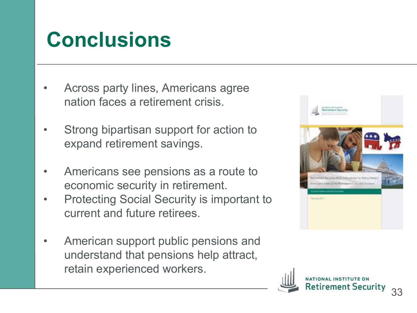## **Conclusions**

- Across party lines, Americans agree nation faces a retirement crisis.
- Strong bipartisan support for action to expand retirement savings.
- Americans see pensions as a route to economic security in retirement.
- Protecting Social Security is important to current and future retirees.
- American support public pensions and understand that pensions help attract, retain experienced workers.

![](_page_32_Picture_6.jpeg)

![](_page_32_Picture_7.jpeg)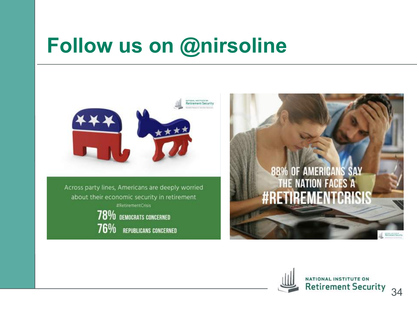## **Follow us on @nirsoline**

![](_page_33_Picture_1.jpeg)

Across party lines, Americans are deeply worried about their economic security in retirement #RetirementCnsis 78% DEMOCRATS CONCERNED

76% REPUBLICANS CONCERNED

![](_page_33_Picture_4.jpeg)

![](_page_33_Picture_5.jpeg)